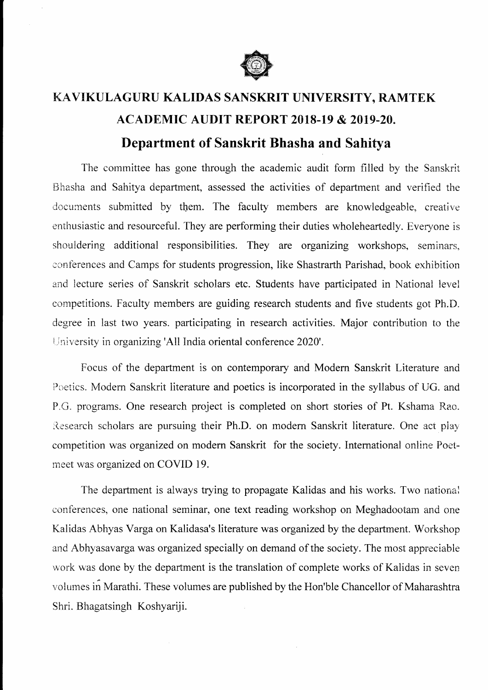

## KAVIKULAGURU KALIDAS SANSKRIT UNIVERSITY, RAMTEK ACADEMIC AUDIT REPORT 2018-19 & 2019-20. Department of Sanskrit Bhasha and Sahitya

The committee has gone through the acadernic audit form filled by the Sanskrit Bhasha and Sahitya department, assessed the activities of department and verified the documents submitted by them. The faculty members are knowledgeable, creative enthusiastic and resourceful. They are performing their duties wholeheartedly. Everyone is shouidering additional responsibilities. They are organizing workshops, seminars, conferences and Camps for students progression, like Shastrarth Parishad, book exhibition and lecture series of Sanskrit scholars etc. Students have participated in National level competitions. Faculty members are guiding research students and five students got Ph.D. degree in last two years. participating in research activities. Major contribution to the University in organizing 'All India oriental conference 2020'.

Focus of the department is on contemporary and Modem Sanskrit Literature and Poetics. Modem Sanskrit literature and poetics is incorporated in the syllabus of UG. and P.G. programs. One research project is completed on short stories of Pt. Kshama Rao. Research scholars are pursuing their Ph.D. on modern Sanskrit literature. One act play competition was organized on modem Sanskrit for the society. Intemational online Poetmeet was organized on COVID 19.

The department is aiways trying to propagate Kalidas and his works. Two national conferences, one national seminar, one text reading workshop on Meghadootam and one Kalidas Abhyas Varga on Kalidasa's literature was organized by the department. Workshop and Abhyasavarga was organized specially on demand of the society. The most appreciable work was done by the department is the translation of complete works of Kalidas in seven volumes in Marathi. These volumes are published by the Hon'ble Chancellor of Maharashtra Shri. Bhagatsingh Koshyariji.